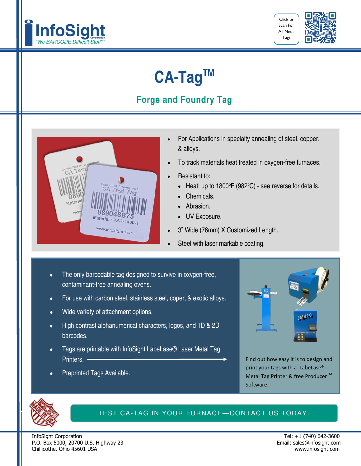



## **CA-TagTM**

## **Forge and Foundry Tag**



- For Applications in specialty annealing of steel, copper, & alloys.
- To track materials heat treated in oxygen-free furnaces.
- Resistant to:
	- $\bullet$  Heat: up to 1800°F (982°C) see reverse for details.
	- Chemicals.
	- Abrasion.
	- UV Exposure.
- 3" Wide (76mm) X Customized Length.
- Steel with laser markable coating.
- The only barcodable tag designed to survive in oxygen-free, contaminant-free annealing ovens.
- ◆ For use with carbon steel, stainless steel, coper, & exotic alloys.
- Wide variety of attachment options.
- High contrast alphanumerical characters, logos, and 1D & 2D barcodes.
- Tags are printable with InfoSight LabeLase® Laser Metal Tag Printers. —
- Preprinted Tags Available.



Find out how easy it is to design and print your tags with a LabeLase® Metal Tag Printer & free Producer<sup>™</sup> Software.



#### TEST CA-TAG IN YOUR FURNACE—CONTACT US TODAY.